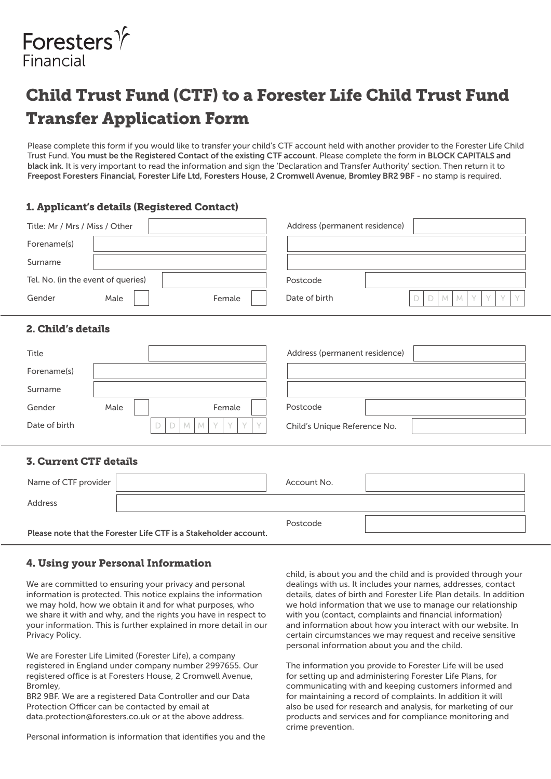

# Child Trust Fund (CTF) to a Forester Life Child Trust Fund Transfer Application Form

Please complete this form if you would like to transfer your child's CTF account held with another provider to the Forester Life Child Trust Fund. You must be the Registered Contact of the existing CTF account. Please complete the form in BLOCK CAPITALS and black ink. It is very important to read the information and sign the 'Declaration and Transfer Authority' section. Then return it to Freepost Foresters Financial, Forester Life Ltd, Foresters House, 2 Cromwell Avenue, Bromley BR2 9BF - no stamp is required.

## 1. Applicant's details (Registered Contact)

| Title: Mr / Mrs / Miss / Other                         | Address (permanent residence)                                     |
|--------------------------------------------------------|-------------------------------------------------------------------|
| Forename(s)                                            |                                                                   |
| Surname                                                |                                                                   |
| Tel. No. (in the event of queries)                     | Postcode                                                          |
| Gender<br>Male<br>Female                               | Date of birth<br>$\mathcal{M}$<br>D<br>D<br>M<br>V<br>$\vee$<br>V |
| 2. Child's details                                     |                                                                   |
| Title                                                  | Address (permanent residence)                                     |
| Forename(s)                                            |                                                                   |
| Surname                                                |                                                                   |
| Gender<br>Male<br>Female                               | Postcode                                                          |
| Date of birth<br>M<br>D<br>D<br>$M_{\odot}$<br>Y.<br>Y | Child's Unique Reference No.                                      |
| <b>3. Current CTF details</b>                          |                                                                   |
| Name of CTF provider                                   | Account No.                                                       |

Postcode

Please note that the Forester Life CTF is a Stakeholder account.

## 4. Using your Personal Information

Address

We are committed to ensuring your privacy and personal information is protected. This notice explains the information we may hold, how we obtain it and for what purposes, who we share it with and why, and the rights you have in respect to your information. This is further explained in more detail in our Privacy Policy.

We are Forester Life Limited (Forester Life), a company registered in England under company number 2997655. Our registered office is at Foresters House, 2 Cromwell Avenue, Bromley,

BR2 9BF. We are a registered Data Controller and our Data Protection Officer can be contacted by email at data.protection@foresters.co.uk or at the above address.

Personal information is information that identifies you and the

child, is about you and the child and is provided through your dealings with us. It includes your names, addresses, contact details, dates of birth and Forester Life Plan details. In addition we hold information that we use to manage our relationship with you (contact, complaints and financial information) and information about how you interact with our website. In certain circumstances we may request and receive sensitive personal information about you and the child.

The information you provide to Forester Life will be used for setting up and administering Forester Life Plans, for communicating with and keeping customers informed and for maintaining a record of complaints. In addition it will also be used for research and analysis, for marketing of our products and services and for compliance monitoring and crime prevention.